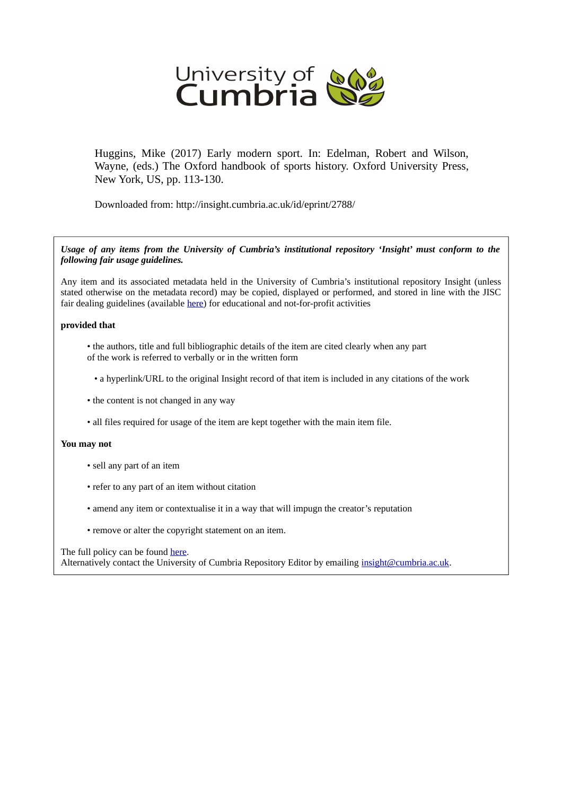

Huggins, Mike (2017) Early modern sport. In: Edelman, Robert and Wilson, Wayne, (eds.) The Oxford handbook of sports history. Oxford University Press, New York, US, pp. 113-130.

Downloaded from: http://insight.cumbria.ac.uk/id/eprint/2788/

*Usage of any items from the University of Cumbria's institutional repository 'Insight' must conform to the following fair usage guidelines.*

Any item and its associated metadata held in the University of Cumbria's institutional repository Insight (unless stated otherwise on the metadata record) may be copied, displayed or performed, and stored in line with the JISC fair dealing guidelines (available [here\)](http://www.ukoln.ac.uk/services/elib/papers/pa/fair/) for educational and not-for-profit activities

#### **provided that**

- the authors, title and full bibliographic details of the item are cited clearly when any part of the work is referred to verbally or in the written form
	- a hyperlink/URL to the original Insight record of that item is included in any citations of the work
- the content is not changed in any way
- all files required for usage of the item are kept together with the main item file.

#### **You may not**

- sell any part of an item
- refer to any part of an item without citation
- amend any item or contextualise it in a way that will impugn the creator's reputation
- remove or alter the copyright statement on an item.

#### The full policy can be found [here.](http://insight.cumbria.ac.uk/legal.html#section5)

Alternatively contact the University of Cumbria Repository Editor by emailing [insight@cumbria.ac.uk.](mailto:insight@cumbria.ac.uk)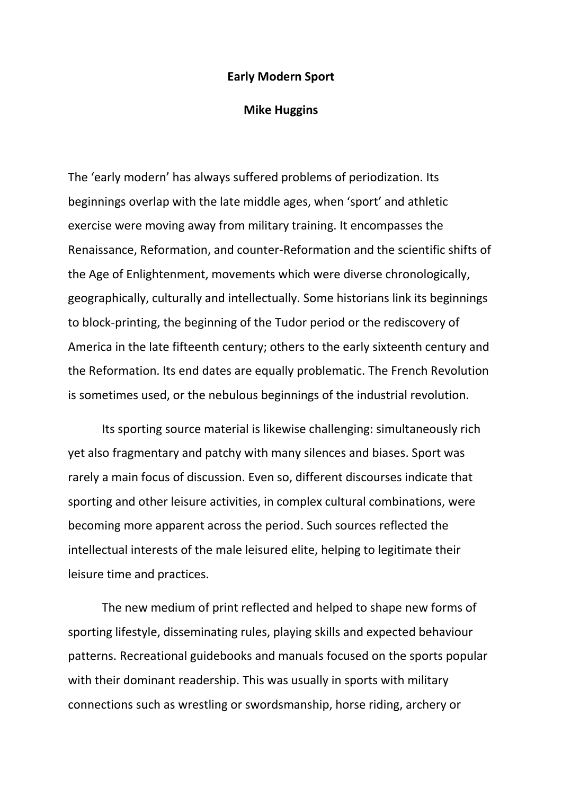#### **Early Modern Sport**

## **Mike Huggins**

The 'early modern' has always suffered problems of periodization. Its beginnings overlap with the late middle ages, when 'sport' and athletic exercise were moving away from military training. It encompasses the Renaissance, Reformation, and counter-Reformation and the scientific shifts of the Age of Enlightenment, movements which were diverse chronologically, geographically, culturally and intellectually. Some historians link its beginnings to block-printing, the beginning of the Tudor period or the rediscovery of America in the late fifteenth century; others to the early sixteenth century and the Reformation. Its end dates are equally problematic. The French Revolution is sometimes used, or the nebulous beginnings of the industrial revolution.

Its sporting source material is likewise challenging: simultaneously rich yet also fragmentary and patchy with many silences and biases. Sport was rarely a main focus of discussion. Even so, different discourses indicate that sporting and other leisure activities, in complex cultural combinations, were becoming more apparent across the period. Such sources reflected the intellectual interests of the male leisured elite, helping to legitimate their leisure time and practices.

The new medium of print reflected and helped to shape new forms of sporting lifestyle, disseminating rules, playing skills and expected behaviour patterns. Recreational guidebooks and manuals focused on the sports popular with their dominant readership. This was usually in sports with military connections such as wrestling or swordsmanship, horse riding, archery or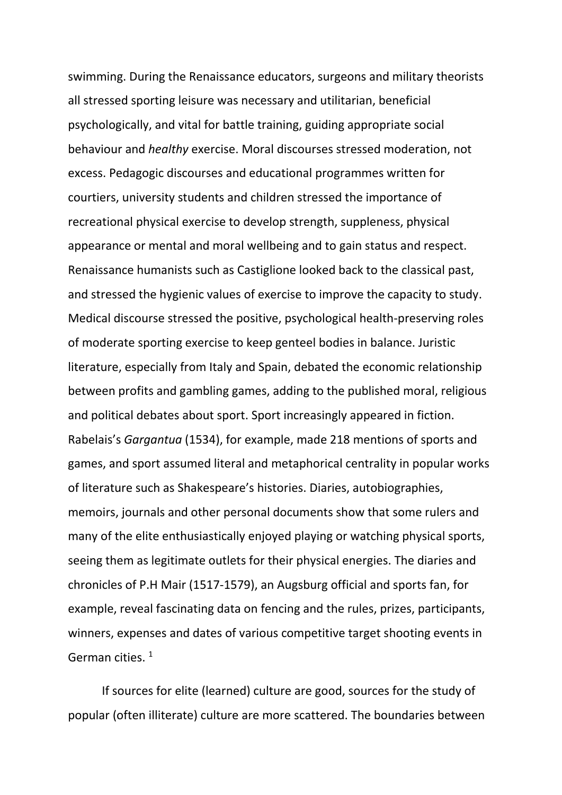swimming. During the Renaissance educators, surgeons and military theorists all stressed sporting leisure was necessary and utilitarian, beneficial psychologically, and vital for battle training, guiding appropriate social behaviour and *healthy* exercise. Moral discourses stressed moderation, not excess. Pedagogic discourses and educational programmes written for courtiers, university students and children stressed the importance of recreational physical exercise to develop strength, suppleness, physical appearance or mental and moral wellbeing and to gain status and respect. Renaissance humanists such as Castiglione looked back to the classical past, and stressed the hygienic values of exercise to improve the capacity to study. Medical discourse stressed the positive, psychological health-preserving roles of moderate sporting exercise to keep genteel bodies in balance. Juristic literature, especially from Italy and Spain, debated the economic relationship between profits and gambling games, adding to the published moral, religious and political debates about sport. Sport increasingly appeared in fiction. Rabelais's *Gargantua* (1534), for example, made 218 mentions of sports and games, and sport assumed literal and metaphorical centrality in popular works of literature such as Shakespeare's histories. Diaries, autobiographies, memoirs, journals and other personal documents show that some rulers and many of the elite enthusiastically enjoyed playing or watching physical sports, seeing them as legitimate outlets for their physical energies. The diaries and chronicles of P.H Mair (1517-1579), an Augsburg official and sports fan, for example, reveal fascinating data on fencing and the rules, prizes, participants, winners, expenses and dates of various competitive target shooting events in German cities.<sup>1</sup>

If sources for elite (learned) culture are good, sources for the study of popular (often illiterate) culture are more scattered. The boundaries between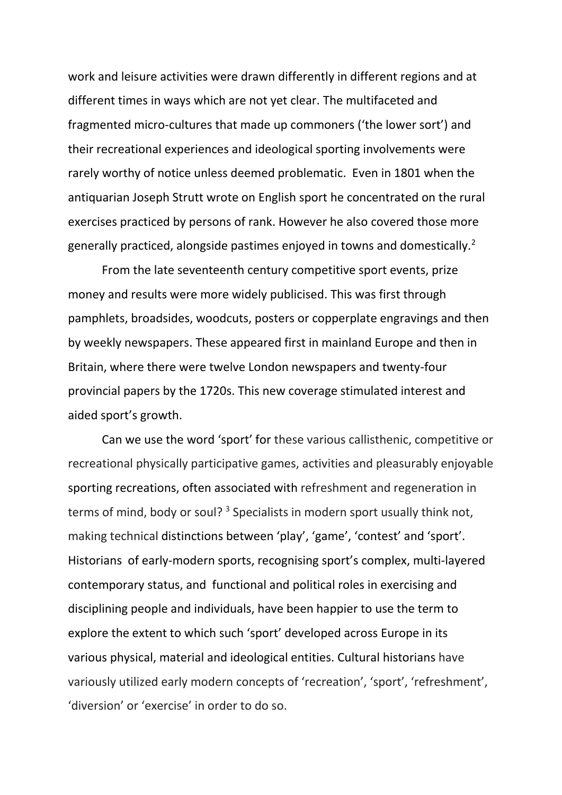work and leisure activities were drawn differently in different regions and at different times in ways which are not yet clear. The multifaceted and fragmented micro-cultures that made up commoners ('the lower sort') and their recreational experiences and ideological sporting involvements were rarely worthy of notice unless deemed problematic. Even in 1801 when the antiquarian Joseph Strutt wrote on English sport he concentrated on the rural exercises practiced by persons of rank. However he also covered those more generally practiced, alongside pastimes enjoyed in towns and domestically.<sup>2</sup>

From the late seventeenth century competitive sport events, prize money and results were more widely publicised. This was first through pamphlets, broadsides, woodcuts, posters or copperplate engravings and then by weekly newspapers. These appeared first in mainland Europe and then in Britain, where there were twelve London newspapers and twenty-four provincial papers by the 1720s. This new coverage stimulated interest and aided sport's growth.

Can we use the word 'sport' for these various callisthenic, competitive or recreational physically participative games, activities and pleasurably enjoyable sporting recreations, often associated with refreshment and regeneration in terms of mind, body or soul?<sup>3</sup> Specialists in modern sport usually think not, making technical distinctions between 'play', 'game', 'contest' and 'sport'. Historians of early-modern sports, recognising sport's complex, multi-layered contemporary status, and functional and political roles in exercising and disciplining people and individuals, have been happier to use the term to explore the extent to which such 'sport' developed across Europe in its various physical, material and ideological entities. Cultural historians have variously utilized early modern concepts of 'recreation', 'sport', 'refreshment', 'diversion' or 'exercise' in order to do so.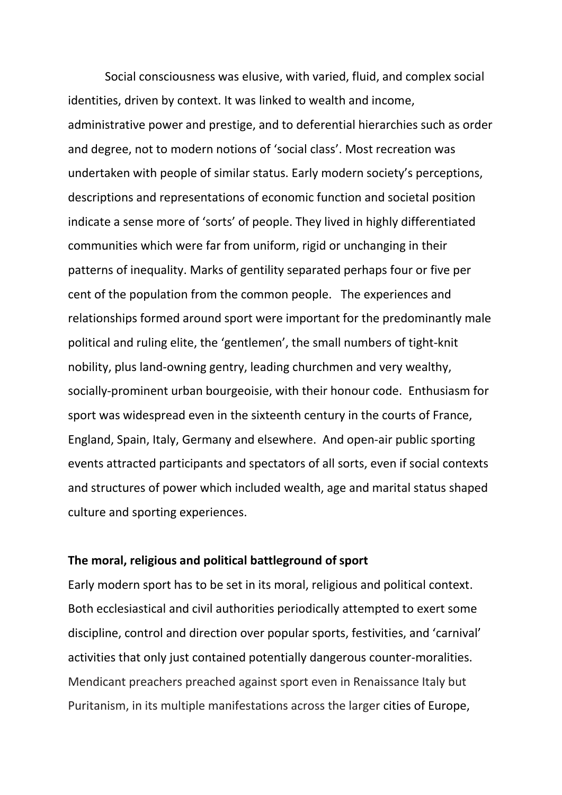Social consciousness was elusive, with varied, fluid, and complex social identities, driven by context. It was linked to wealth and income, administrative power and prestige, and to deferential hierarchies such as order and degree, not to modern notions of 'social class'. Most recreation was undertaken with people of similar status. Early modern society's perceptions, descriptions and representations of economic function and societal position indicate a sense more of 'sorts' of people. They lived in highly differentiated communities which were far from uniform, rigid or unchanging in their patterns of inequality. Marks of gentility separated perhaps four or five per cent of the population from the common people. The experiences and relationships formed around sport were important for the predominantly male political and ruling elite, the 'gentlemen', the small numbers of tight-knit nobility, plus land-owning gentry, leading churchmen and very wealthy, socially-prominent urban bourgeoisie, with their honour code. Enthusiasm for sport was widespread even in the sixteenth century in the courts of France, England, Spain, Italy, Germany and elsewhere. And open-air public sporting events attracted participants and spectators of all sorts, even if social contexts and structures of power which included wealth, age and marital status shaped culture and sporting experiences.

## **The moral, religious and political battleground of sport**

Early modern sport has to be set in its moral, religious and political context. Both ecclesiastical and civil authorities periodically attempted to exert some discipline, control and direction over popular sports, festivities, and 'carnival' activities that only just contained potentially dangerous counter-moralities. Mendicant preachers preached against sport even in Renaissance Italy but Puritanism, in its multiple manifestations across the larger cities of Europe,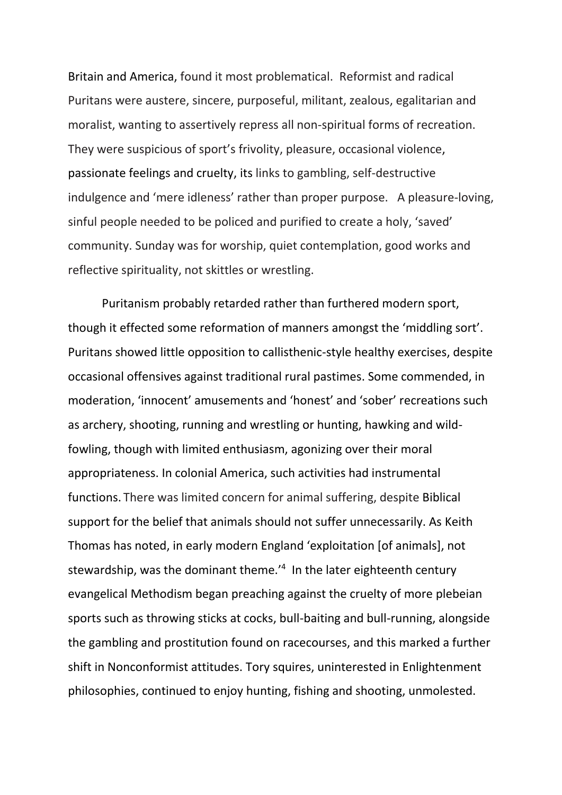Britain and America, found it most problematical. Reformist and radical Puritans were austere, sincere, purposeful, militant, zealous, egalitarian and moralist, wanting to assertively repress all non-spiritual forms of recreation. They were suspicious of sport's frivolity, pleasure, occasional violence, passionate feelings and cruelty, its links to gambling, self-destructive indulgence and 'mere idleness' rather than proper purpose. A pleasure-loving, sinful people needed to be policed and purified to create a holy, 'saved' community. Sunday was for worship, quiet contemplation, good works and reflective spirituality, not skittles or wrestling.

Puritanism probably retarded rather than furthered modern sport, though it effected some reformation of manners amongst the 'middling sort'. Puritans showed little opposition to callisthenic-style healthy exercises, despite occasional offensives against traditional rural pastimes. Some commended, in moderation, 'innocent' amusements and 'honest' and 'sober' recreations such as archery, shooting, running and wrestling or hunting, hawking and wildfowling, though with limited enthusiasm, agonizing over their moral appropriateness. In colonial America, such activities had instrumental functions. There was limited concern for animal suffering, despite Biblical support for the belief that animals should not suffer unnecessarily. As Keith Thomas has noted, in early modern England 'exploitation [of animals], not stewardship, was the dominant theme.<sup>'4</sup> In the later eighteenth century evangelical Methodism began preaching against the cruelty of more plebeian sports such as throwing sticks at cocks, bull-baiting and bull-running, alongside the gambling and prostitution found on racecourses, and this marked a further shift in Nonconformist attitudes. Tory squires, uninterested in Enlightenment philosophies, continued to enjoy hunting, fishing and shooting, unmolested.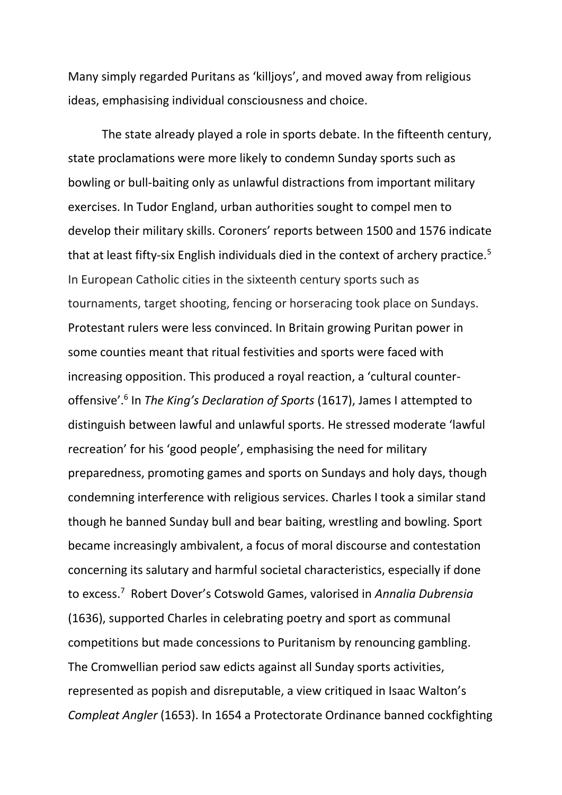Many simply regarded Puritans as 'killjoys', and moved away from religious ideas, emphasising individual consciousness and choice.

The state already played a role in sports debate. In the fifteenth century, state proclamations were more likely to condemn Sunday sports such as bowling or bull-baiting only as unlawful distractions from important military exercises. In Tudor England, urban authorities sought to compel men to develop their military skills. Coroners' reports between 1500 and 1576 indicate that at least fifty-six English individuals died in the context of archery practice.<sup>5</sup> In European Catholic cities in the sixteenth century sports such as tournaments, target shooting, fencing or horseracing took place on Sundays. Protestant rulers were less convinced. In Britain growing Puritan power in some counties meant that ritual festivities and sports were faced with increasing opposition. This produced a royal reaction, a 'cultural counteroffensive'.<sup>6</sup> In *The King's Declaration of Sports* (1617), James I attempted to distinguish between lawful and unlawful sports. He stressed moderate 'lawful recreation' for his 'good people', emphasising the need for military preparedness, promoting games and sports on Sundays and holy days, though condemning interference with religious services. Charles I took a similar stand though he banned Sunday bull and bear baiting, wrestling and bowling. Sport became increasingly ambivalent, a focus of moral discourse and contestation concerning its salutary and harmful societal characteristics, especially if done to excess.<sup>7</sup> Robert Dover's Cotswold Games, valorised in *Annalia Dubrensia*  (1636), supported Charles in celebrating poetry and sport as communal competitions but made concessions to Puritanism by renouncing gambling. The Cromwellian period saw edicts against all Sunday sports activities, represented as popish and disreputable, a view critiqued in Isaac Walton's *Compleat Angler* (1653). In 1654 a Protectorate Ordinance banned cockfighting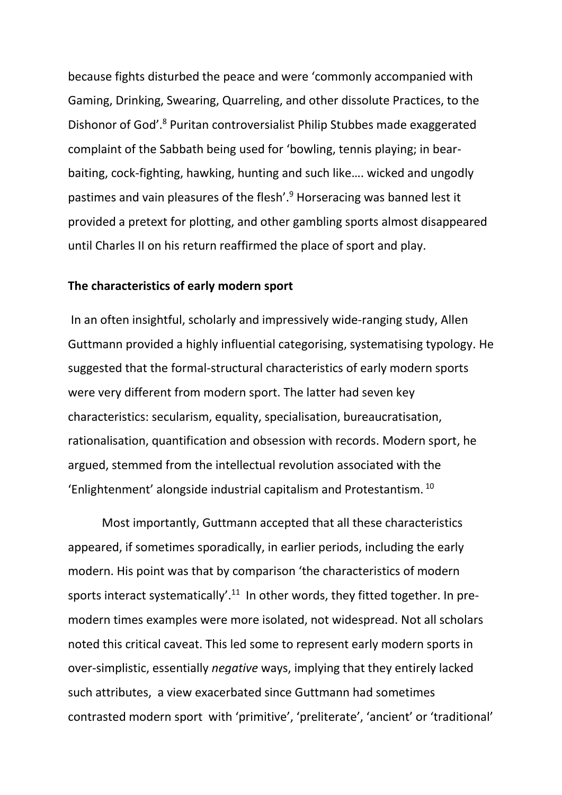because fights disturbed the peace and were 'commonly accompanied with Gaming, Drinking, Swearing, Quarreling, and other dissolute Practices, to the Dishonor of God'.<sup>8</sup> Puritan controversialist Philip Stubbes made exaggerated complaint of the Sabbath being used for 'bowling, tennis playing; in bearbaiting, cock-fighting, hawking, hunting and such like…. wicked and ungodly pastimes and vain pleasures of the flesh'.<sup>9</sup> Horseracing was banned lest it provided a pretext for plotting, and other gambling sports almost disappeared until Charles II on his return reaffirmed the place of sport and play.

#### **The characteristics of early modern sport**

In an often insightful, scholarly and impressively wide-ranging study, Allen Guttmann provided a highly influential categorising, systematising typology. He suggested that the formal-structural characteristics of early modern sports were very different from modern sport. The latter had seven key characteristics: secularism, equality, specialisation, bureaucratisation, rationalisation, quantification and obsession with records. Modern sport, he argued, stemmed from the intellectual revolution associated with the 'Enlightenment' alongside industrial capitalism and Protestantism. <sup>10</sup>

Most importantly, Guttmann accepted that all these characteristics appeared, if sometimes sporadically, in earlier periods, including the early modern. His point was that by comparison 'the characteristics of modern sports interact systematically'.<sup>11</sup> In other words, they fitted together. In premodern times examples were more isolated, not widespread. Not all scholars noted this critical caveat. This led some to represent early modern sports in over-simplistic, essentially *negative* ways, implying that they entirely lacked such attributes, a view exacerbated since Guttmann had sometimes contrasted modern sport with 'primitive', 'preliterate', 'ancient' or 'traditional'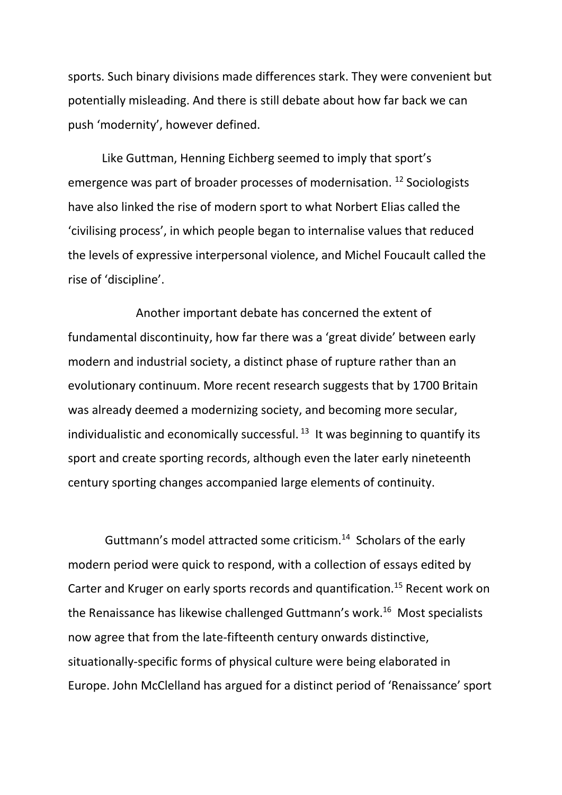sports. Such binary divisions made differences stark. They were convenient but potentially misleading. And there is still debate about how far back we can push 'modernity', however defined.

Like Guttman, Henning Eichberg seemed to imply that sport's emergence was part of broader processes of modernisation. <sup>12</sup> Sociologists have also linked the rise of modern sport to what Norbert Elias called the 'civilising process', in which people began to internalise values that reduced the levels of expressive interpersonal violence, and Michel Foucault called the rise of 'discipline'.

Another important debate has concerned the extent of fundamental discontinuity, how far there was a 'great divide' between early modern and industrial society, a distinct phase of rupture rather than an evolutionary continuum. More recent research suggests that by 1700 Britain was already deemed a modernizing society, and becoming more secular, individualistic and economically successful. <sup>13</sup> It was beginning to quantify its sport and create sporting records, although even the later early nineteenth century sporting changes accompanied large elements of continuity.

Guttmann's model attracted some criticism.<sup>14</sup> Scholars of the early modern period were quick to respond, with a collection of essays edited by Carter and Kruger on early sports records and quantification.<sup>15</sup> Recent work on the Renaissance has likewise challenged Guttmann's work. 16 Most specialists now agree that from the late-fifteenth century onwards distinctive, situationally-specific forms of physical culture were being elaborated in Europe. John McClelland has argued for a distinct period of 'Renaissance' sport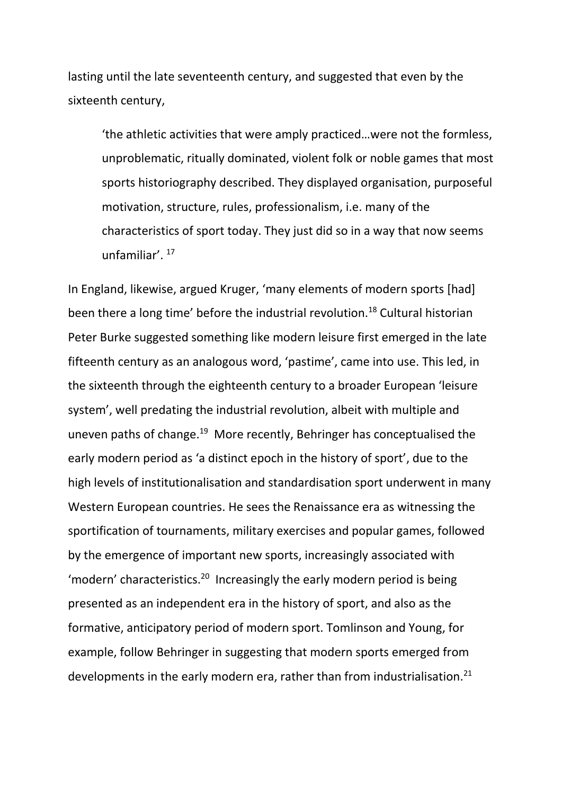lasting until the late seventeenth century, and suggested that even by the sixteenth century,

'the athletic activities that were amply practiced…were not the formless, unproblematic, ritually dominated, violent folk or noble games that most sports historiography described. They displayed organisation, purposeful motivation, structure, rules, professionalism, i.e. many of the characteristics of sport today. They just did so in a way that now seems unfamiliar'. <sup>17</sup>

In England, likewise, argued Kruger, 'many elements of modern sports [had] been there a long time' before the industrial revolution.<sup>18</sup> Cultural historian Peter Burke suggested something like modern leisure first emerged in the late fifteenth century as an analogous word, 'pastime', came into use. This led, in the sixteenth through the eighteenth century to a broader European 'leisure system', well predating the industrial revolution, albeit with multiple and uneven paths of change.<sup>19</sup> More recently, Behringer has conceptualised the early modern period as 'a distinct epoch in the history of sport', due to the high levels of institutionalisation and standardisation sport underwent in many Western European countries. He sees the Renaissance era as witnessing the sportification of tournaments, military exercises and popular games, followed by the emergence of important new sports, increasingly associated with 'modern' characteristics.<sup>20</sup> Increasingly the early modern period is being presented as an independent era in the history of sport, and also as the formative, anticipatory period of modern sport. Tomlinson and Young, for example, follow Behringer in suggesting that modern sports emerged from developments in the early modern era, rather than from industrialisation.<sup>21</sup>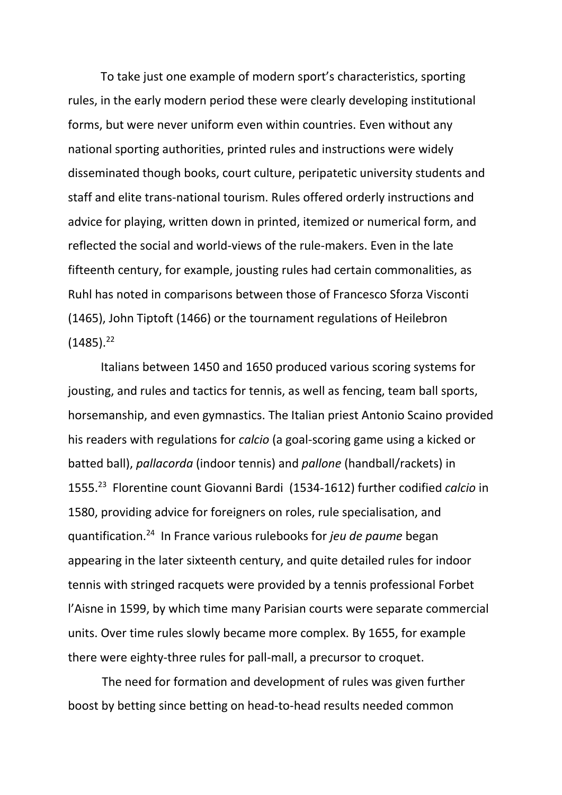To take just one example of modern sport's characteristics, sporting rules, in the early modern period these were clearly developing institutional forms, but were never uniform even within countries. Even without any national sporting authorities, printed rules and instructions were widely disseminated though books, court culture, peripatetic university students and staff and elite trans-national tourism. Rules offered orderly instructions and advice for playing, written down in printed, itemized or numerical form, and reflected the social and world-views of the rule-makers. Even in the late fifteenth century, for example, jousting rules had certain commonalities, as Ruhl has noted in comparisons between those of Francesco Sforza Visconti (1465), John Tiptoft (1466) or the tournament regulations of Heilebron  $(1485).^{22}$ 

 Italians between 1450 and 1650 produced various scoring systems for jousting, and rules and tactics for tennis, as well as fencing, team ball sports, horsemanship, and even gymnastics. The Italian priest Antonio Scaino provided his readers with regulations for *calcio* (a goal-scoring game using a kicked or batted ball), *pallacorda* (indoor tennis) and *pallone* (handball/rackets) in 1555. 23 Florentine count Giovanni Bardi (1534-1612) further codified *calcio* in 1580, providing advice for foreigners on roles, rule specialisation, and quantification.<sup>24</sup> In France various rulebooks for *jeu de paume* began appearing in the later sixteenth century, and quite detailed rules for indoor tennis with stringed racquets were provided by a tennis professional Forbet l'Aisne in 1599, by which time many Parisian courts were separate commercial units. Over time rules slowly became more complex. By 1655, for example there were eighty-three rules for pall-mall, a precursor to croquet.

The need for formation and development of rules was given further boost by betting since betting on head-to-head results needed common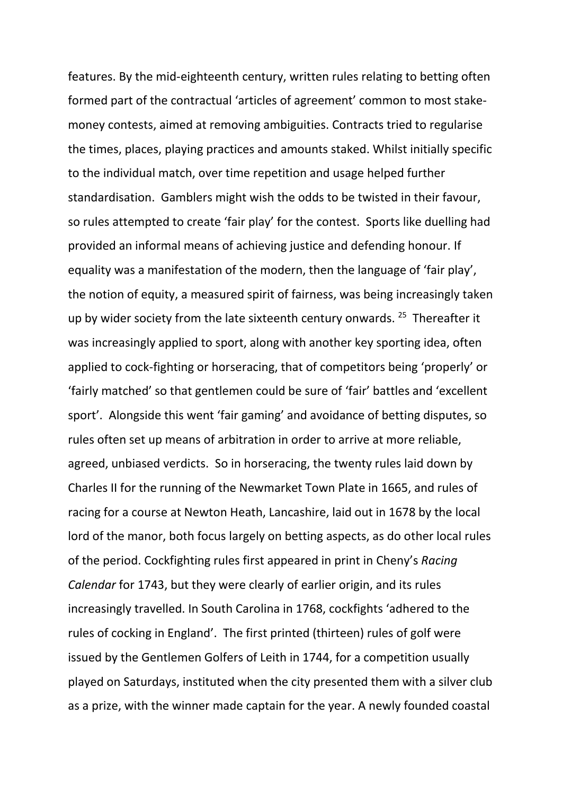features. By the mid-eighteenth century, written rules relating to betting often formed part of the contractual 'articles of agreement' common to most stakemoney contests, aimed at removing ambiguities. Contracts tried to regularise the times, places, playing practices and amounts staked. Whilst initially specific to the individual match, over time repetition and usage helped further standardisation. Gamblers might wish the odds to be twisted in their favour, so rules attempted to create 'fair play' for the contest. Sports like duelling had provided an informal means of achieving justice and defending honour. If equality was a manifestation of the modern, then the language of 'fair play', the notion of equity, a measured spirit of fairness, was being increasingly taken up by wider society from the late sixteenth century onwards. <sup>25</sup> Thereafter it was increasingly applied to sport, along with another key sporting idea, often applied to cock-fighting or horseracing, that of competitors being 'properly' or 'fairly matched' so that gentlemen could be sure of 'fair' battles and 'excellent sport'. Alongside this went 'fair gaming' and avoidance of betting disputes, so rules often set up means of arbitration in order to arrive at more reliable, agreed, unbiased verdicts. So in horseracing, the twenty rules laid down by Charles II for the running of the Newmarket Town Plate in 1665, and rules of racing for a course at Newton Heath, Lancashire, laid out in 1678 by the local lord of the manor, both focus largely on betting aspects, as do other local rules of the period. Cockfighting rules first appeared in print in Cheny's *Racing Calendar* for 1743, but they were clearly of earlier origin, and its rules increasingly travelled. In South Carolina in 1768, cockfights 'adhered to the rules of cocking in England'. The first printed (thirteen) rules of golf were issued by the Gentlemen Golfers of Leith in 1744, for a competition usually played on Saturdays, instituted when the city presented them with a silver club as a prize, with the winner made captain for the year. A newly founded coastal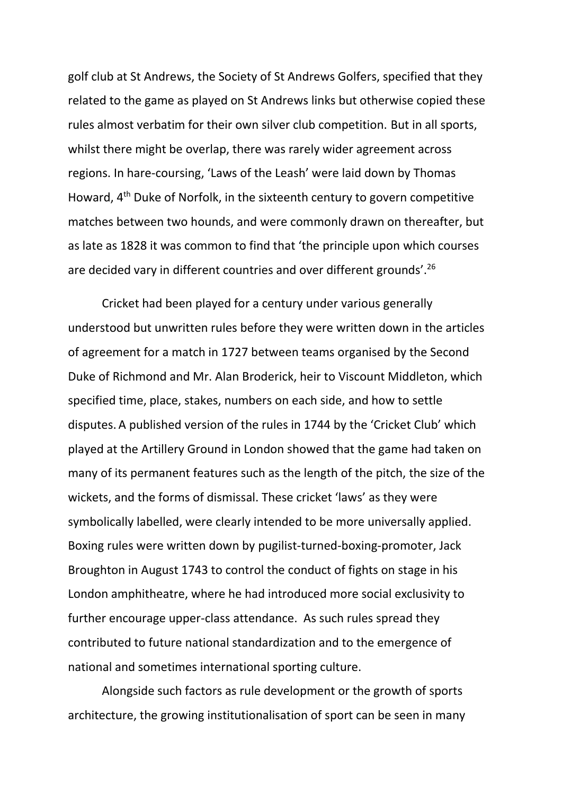golf club at St Andrews, the Society of St Andrews Golfers, specified that they related to the game as played on St Andrews links but otherwise copied these rules almost verbatim for their own silver club competition. But in all sports, whilst there might be overlap, there was rarely wider agreement across regions. In hare-coursing, 'Laws of the Leash' were laid down by Thomas Howard, 4<sup>th</sup> Duke of Norfolk, in the sixteenth century to govern competitive matches between two hounds, and were commonly drawn on thereafter, but as late as 1828 it was common to find that 'the principle upon which courses are decided vary in different countries and over different grounds'.<sup>26</sup>

Cricket had been played for a century under various generally understood but unwritten rules before they were written down in the articles of agreement for a match in 1727 between teams organised by the Second Duke of Richmond and Mr. Alan Broderick, heir to Viscount Middleton, which specified time, place, stakes, numbers on each side, and how to settle disputes. A published version of the rules in 1744 by the 'Cricket Club' which played at the Artillery Ground in London showed that the game had taken on many of its permanent features such as the length of the pitch, the size of the wickets, and the forms of dismissal. These cricket 'laws' as they were symbolically labelled, were clearly intended to be more universally applied. Boxing rules were written down by pugilist-turned-boxing-promoter, Jack Broughton in August 1743 to control the conduct of fights on stage in his London amphitheatre, where he had introduced more social exclusivity to further encourage upper-class attendance. As such rules spread they contributed to future national standardization and to the emergence of national and sometimes international sporting culture.

Alongside such factors as rule development or the growth of sports architecture, the growing institutionalisation of sport can be seen in many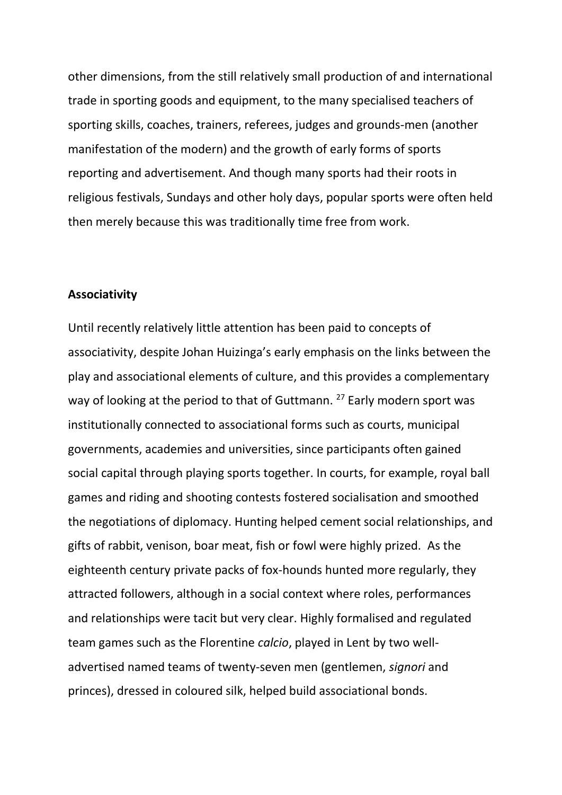other dimensions, from the still relatively small production of and international trade in sporting goods and equipment, to the many specialised teachers of sporting skills, coaches, trainers, referees, judges and grounds-men (another manifestation of the modern) and the growth of early forms of sports reporting and advertisement. And though many sports had their roots in religious festivals, Sundays and other holy days, popular sports were often held then merely because this was traditionally time free from work.

## **Associativity**

Until recently relatively little attention has been paid to concepts of associativity, despite Johan Huizinga's early emphasis on the links between the play and associational elements of culture, and this provides a complementary way of looking at the period to that of Guttmann. <sup>27</sup> Early modern sport was institutionally connected to associational forms such as courts, municipal governments, academies and universities, since participants often gained social capital through playing sports together. In courts, for example, royal ball games and riding and shooting contests fostered socialisation and smoothed the negotiations of diplomacy. Hunting helped cement social relationships, and gifts of rabbit, venison, boar meat, fish or fowl were highly prized. As the eighteenth century private packs of fox-hounds hunted more regularly, they attracted followers, although in a social context where roles, performances and relationships were tacit but very clear. Highly formalised and regulated team games such as the Florentine *calcio*, played in Lent by two welladvertised named teams of twenty-seven men (gentlemen, *signori* and princes), dressed in coloured silk, helped build associational bonds.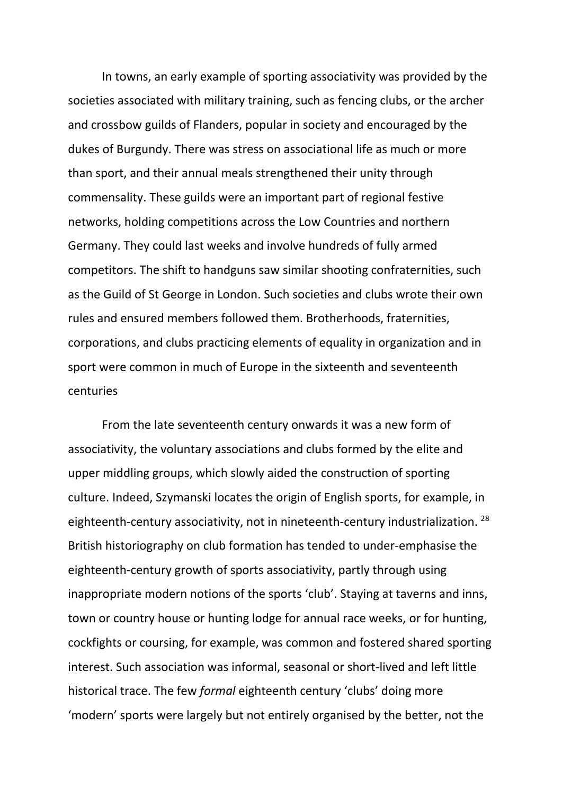In towns, an early example of sporting associativity was provided by the societies associated with military training, such as fencing clubs, or the archer and crossbow guilds of Flanders, popular in society and encouraged by the dukes of Burgundy. There was stress on associational life as much or more than sport, and their annual meals strengthened their unity through commensality. These guilds were an important part of regional festive networks, holding competitions across the Low Countries and northern Germany. They could last weeks and involve hundreds of fully armed competitors. The shift to handguns saw similar shooting confraternities, such as the Guild of St George in London. Such societies and clubs wrote their own rules and ensured members followed them. Brotherhoods, fraternities, corporations, and clubs practicing elements of equality in organization and in sport were common in much of Europe in the sixteenth and seventeenth centuries

From the late seventeenth century onwards it was a new form of associativity, the voluntary associations and clubs formed by the elite and upper middling groups, which slowly aided the construction of sporting culture. Indeed, Szymanski locates the origin of English sports, for example, in eighteenth-century associativity, not in nineteenth-century industrialization.  $^{28}$ British historiography on club formation has tended to under-emphasise the eighteenth-century growth of sports associativity, partly through using inappropriate modern notions of the sports 'club'. Staying at taverns and inns, town or country house or hunting lodge for annual race weeks, or for hunting, cockfights or coursing, for example, was common and fostered shared sporting interest. Such association was informal, seasonal or short-lived and left little historical trace. The few *formal* eighteenth century 'clubs' doing more 'modern' sports were largely but not entirely organised by the better, not the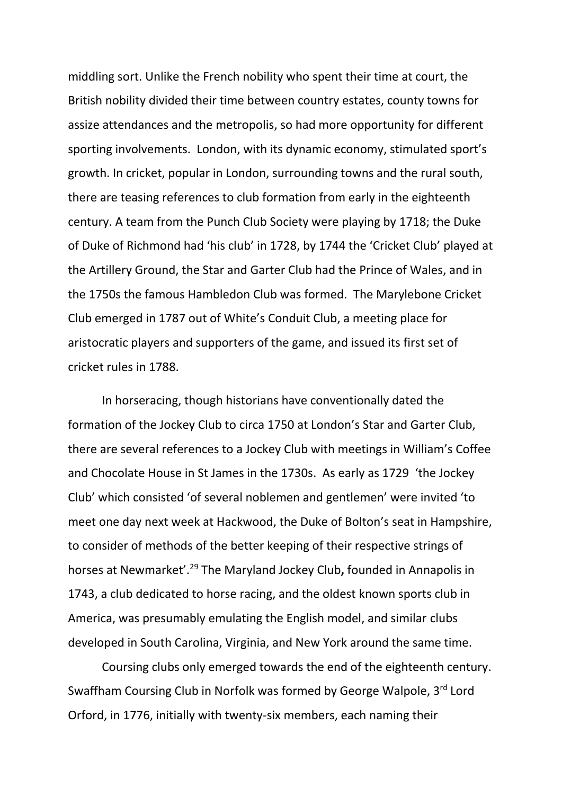middling sort. Unlike the French nobility who spent their time at court, the British nobility divided their time between country estates, county towns for assize attendances and the metropolis, so had more opportunity for different sporting involvements. London, with its dynamic economy, stimulated sport's growth. In cricket, popular in London, surrounding towns and the rural south, there are teasing references to club formation from early in the eighteenth century. A team from the Punch Club Society were playing by 1718; the Duke of Duke of Richmond had 'his club' in 1728, by 1744 the 'Cricket Club' played at the Artillery Ground, the Star and Garter Club had the Prince of Wales, and in the 1750s the famous Hambledon Club was formed. The Marylebone Cricket Club emerged in 1787 out of White's Conduit Club, a meeting place for aristocratic players and supporters of the game, and issued its first set of cricket rules in 1788.

In horseracing, though historians have conventionally dated the formation of the Jockey Club to circa 1750 at London's Star and Garter Club, there are several references to a Jockey Club with meetings in William's Coffee and Chocolate House in St James in the 1730s. As early as 1729 'the Jockey Club' which consisted 'of several noblemen and gentlemen' were invited 'to meet one day next week at Hackwood, the Duke of Bolton's seat in Hampshire, to consider of methods of the better keeping of their respective strings of horses at Newmarket'. <sup>29</sup> The Maryland Jockey Club**,** founded in Annapolis in 1743, a club dedicated to horse racing, and the oldest known sports club in America, was presumably emulating the English model, and similar clubs developed in South Carolina, Virginia, and New York around the same time.

Coursing clubs only emerged towards the end of the eighteenth century. Swaffham Coursing Club in Norfolk was formed by George Walpole, 3rd Lord Orford, in 1776, initially with twenty-six members, each naming their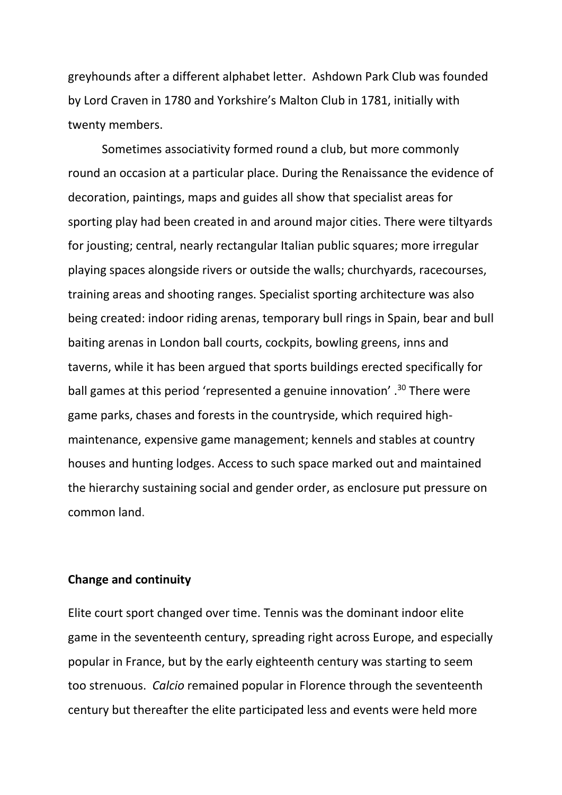greyhounds after a different alphabet letter. Ashdown Park Club was founded by Lord Craven in 1780 and Yorkshire's Malton Club in 1781, initially with twenty members.

Sometimes associativity formed round a club, but more commonly round an occasion at a particular place. During the Renaissance the evidence of decoration, paintings, maps and guides all show that specialist areas for sporting play had been created in and around major cities. There were tiltyards for jousting; central, nearly rectangular Italian public squares; more irregular playing spaces alongside rivers or outside the walls; churchyards, racecourses, training areas and shooting ranges. Specialist sporting architecture was also being created: indoor riding arenas, temporary bull rings in Spain, bear and bull baiting arenas in London ball courts, cockpits, bowling greens, inns and taverns, while it has been argued that sports buildings erected specifically for ball games at this period 'represented a genuine innovation'.<sup>30</sup> There were game parks, chases and forests in the countryside, which required highmaintenance, expensive game management; kennels and stables at country houses and hunting lodges. Access to such space marked out and maintained the hierarchy sustaining social and gender order, as enclosure put pressure on common land.

# **Change and continuity**

Elite court sport changed over time. Tennis was the dominant indoor elite game in the seventeenth century, spreading right across Europe, and especially popular in France, but by the early eighteenth century was starting to seem too strenuous. *Calcio* remained popular in Florence through the seventeenth century but thereafter the elite participated less and events were held more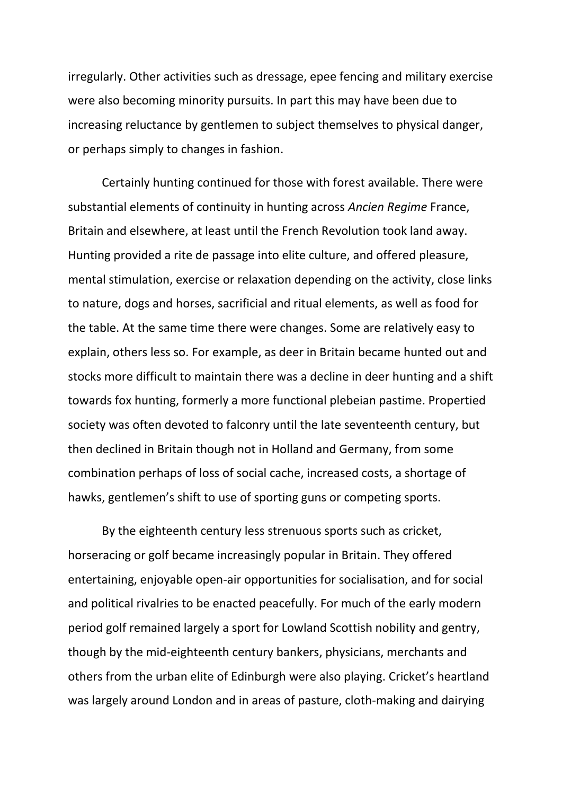irregularly. Other activities such as dressage, epee fencing and military exercise were also becoming minority pursuits. In part this may have been due to increasing reluctance by gentlemen to subject themselves to physical danger, or perhaps simply to changes in fashion.

Certainly hunting continued for those with forest available. There were substantial elements of continuity in hunting across *Ancien Regime* France, Britain and elsewhere, at least until the French Revolution took land away. Hunting provided a rite de passage into elite culture, and offered pleasure, mental stimulation, exercise or relaxation depending on the activity, close links to nature, dogs and horses, sacrificial and ritual elements, as well as food for the table. At the same time there were changes. Some are relatively easy to explain, others less so. For example, as deer in Britain became hunted out and stocks more difficult to maintain there was a decline in deer hunting and a shift towards fox hunting, formerly a more functional plebeian pastime. Propertied society was often devoted to falconry until the late seventeenth century, but then declined in Britain though not in Holland and Germany, from some combination perhaps of loss of social cache, increased costs, a shortage of hawks, gentlemen's shift to use of sporting guns or competing sports.

By the eighteenth century less strenuous sports such as cricket, horseracing or golf became increasingly popular in Britain. They offered entertaining, enjoyable open-air opportunities for socialisation, and for social and political rivalries to be enacted peacefully. For much of the early modern period golf remained largely a sport for Lowland Scottish nobility and gentry, though by the mid-eighteenth century bankers, physicians, merchants and others from the urban elite of Edinburgh were also playing. Cricket's heartland was largely around London and in areas of pasture, cloth-making and dairying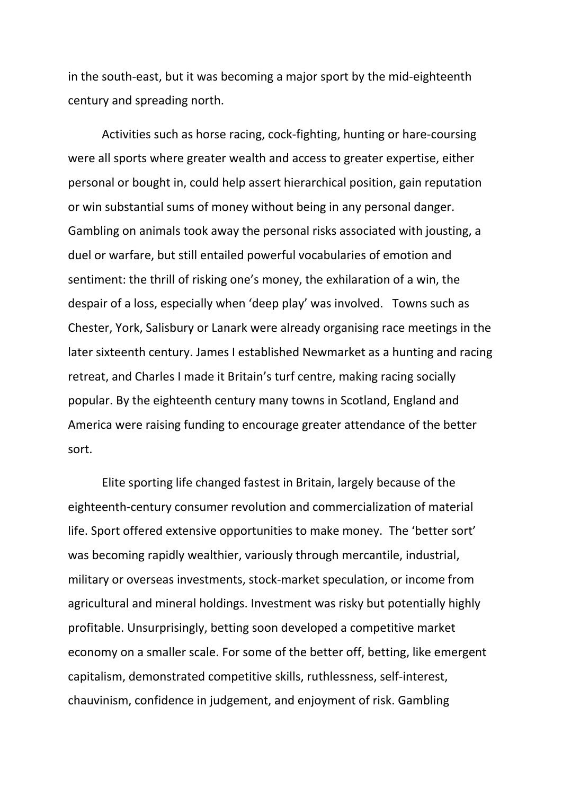in the south-east, but it was becoming a major sport by the mid-eighteenth century and spreading north.

Activities such as horse racing, cock-fighting, hunting or hare-coursing were all sports where greater wealth and access to greater expertise, either personal or bought in, could help assert hierarchical position, gain reputation or win substantial sums of money without being in any personal danger. Gambling on animals took away the personal risks associated with jousting, a duel or warfare, but still entailed powerful vocabularies of emotion and sentiment: the thrill of risking one's money, the exhilaration of a win, the despair of a loss, especially when 'deep play' was involved. Towns such as Chester, York, Salisbury or Lanark were already organising race meetings in the later sixteenth century. James I established Newmarket as a hunting and racing retreat, and Charles I made it Britain's turf centre, making racing socially popular. By the eighteenth century many towns in Scotland, England and America were raising funding to encourage greater attendance of the better sort.

Elite sporting life changed fastest in Britain, largely because of the eighteenth-century consumer revolution and commercialization of material life. Sport offered extensive opportunities to make money. The 'better sort' was becoming rapidly wealthier, variously through mercantile, industrial, military or overseas investments, stock-market speculation, or income from agricultural and mineral holdings. Investment was risky but potentially highly profitable. Unsurprisingly, betting soon developed a competitive market economy on a smaller scale. For some of the better off, betting, like emergent capitalism, demonstrated competitive skills, ruthlessness, self-interest, chauvinism, confidence in judgement, and enjoyment of risk. Gambling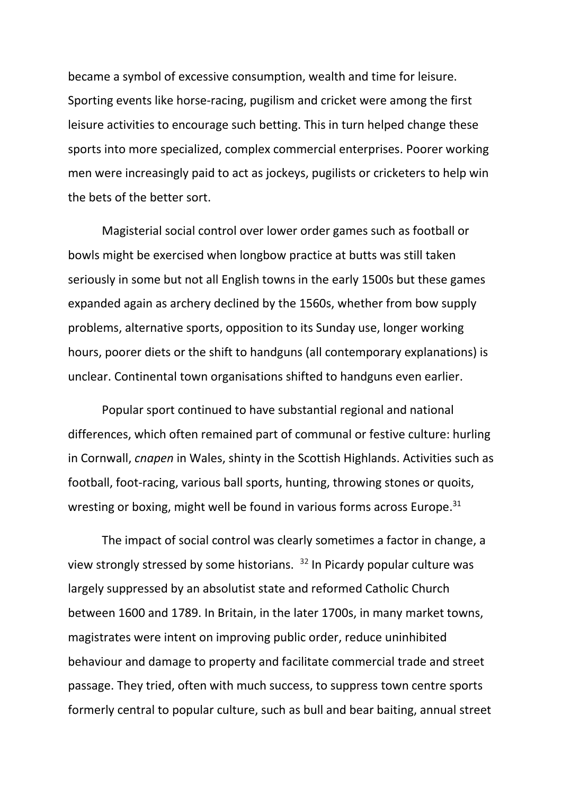became a symbol of excessive consumption, wealth and time for leisure. Sporting events like horse-racing, pugilism and cricket were among the first leisure activities to encourage such betting. This in turn helped change these sports into more specialized, complex commercial enterprises. Poorer working men were increasingly paid to act as jockeys, pugilists or cricketers to help win the bets of the better sort.

Magisterial social control over lower order games such as football or bowls might be exercised when longbow practice at butts was still taken seriously in some but not all English towns in the early 1500s but these games expanded again as archery declined by the 1560s, whether from bow supply problems, alternative sports, opposition to its Sunday use, longer working hours, poorer diets or the shift to handguns (all contemporary explanations) is unclear. Continental town organisations shifted to handguns even earlier.

Popular sport continued to have substantial regional and national differences, which often remained part of communal or festive culture: hurling in Cornwall, *cnapen* in Wales, shinty in the Scottish Highlands. Activities such as football, foot-racing, various ball sports, hunting, throwing stones or quoits, wresting or boxing, might well be found in various forms across Europe.<sup>31</sup>

The impact of social control was clearly sometimes a factor in change, a view strongly stressed by some historians. <sup>32</sup> In Picardy popular culture was largely suppressed by an absolutist state and reformed Catholic Church between 1600 and 1789. In Britain, in the later 1700s, in many market towns, magistrates were intent on improving public order, reduce uninhibited behaviour and damage to property and facilitate commercial trade and street passage. They tried, often with much success, to suppress town centre sports formerly central to popular culture, such as bull and bear baiting, annual street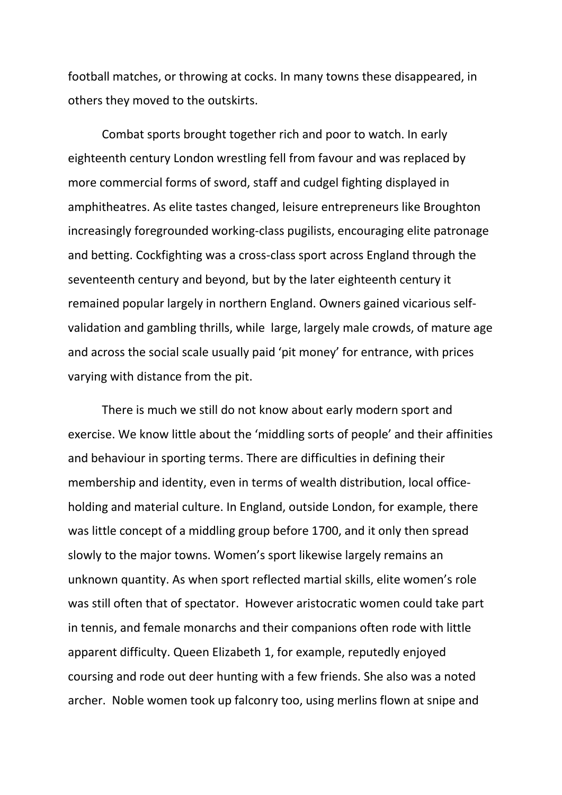football matches, or throwing at cocks. In many towns these disappeared, in others they moved to the outskirts.

Combat sports brought together rich and poor to watch. In early eighteenth century London wrestling fell from favour and was replaced by more commercial forms of sword, staff and cudgel fighting displayed in amphitheatres. As elite tastes changed, leisure entrepreneurs like Broughton increasingly foregrounded working-class pugilists, encouraging elite patronage and betting. Cockfighting was a cross-class sport across England through the seventeenth century and beyond, but by the later eighteenth century it remained popular largely in northern England. Owners gained vicarious selfvalidation and gambling thrills, while large, largely male crowds, of mature age and across the social scale usually paid 'pit money' for entrance, with prices varying with distance from the pit.

There is much we still do not know about early modern sport and exercise. We know little about the 'middling sorts of people' and their affinities and behaviour in sporting terms. There are difficulties in defining their membership and identity, even in terms of wealth distribution, local officeholding and material culture. In England, outside London, for example, there was little concept of a middling group before 1700, and it only then spread slowly to the major towns. Women's sport likewise largely remains an unknown quantity. As when sport reflected martial skills, elite women's role was still often that of spectator. However aristocratic women could take part in tennis, and female monarchs and their companions often rode with little apparent difficulty. Queen Elizabeth 1, for example, reputedly enjoyed coursing and rode out deer hunting with a few friends. She also was a noted archer. Noble women took up falconry too, using merlins flown at snipe and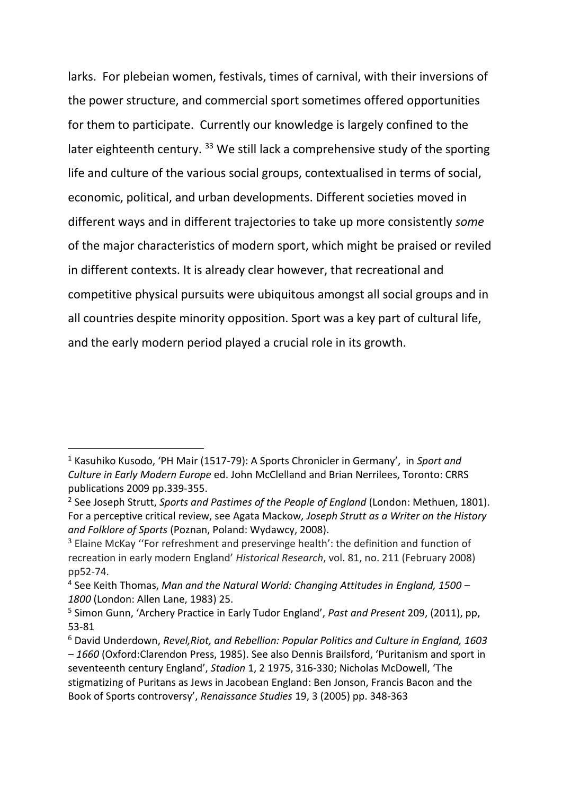larks. For plebeian women, festivals, times of carnival, with their inversions of the power structure, and commercial sport sometimes offered opportunities for them to participate. Currently our knowledge is largely confined to the later eighteenth century. <sup>33</sup> We still lack a comprehensive study of the sporting life and culture of the various social groups, contextualised in terms of social, economic, political, and urban developments. Different societies moved in different ways and in different trajectories to take up more consistently *some* of the major characteristics of modern sport, which might be praised or reviled in different contexts. It is already clear however, that recreational and competitive physical pursuits were ubiquitous amongst all social groups and in all countries despite minority opposition. Sport was a key part of cultural life, and the early modern period played a crucial role in its growth.

1

<sup>1</sup> Kasuhiko Kusodo, 'PH Mair (1517-79): A Sports Chronicler in Germany', in *Sport and Culture in Early Modern Europe* ed. John McClelland and Brian Nerrilees, Toronto: CRRS publications 2009 pp.339-355.

<sup>2</sup> See Joseph Strutt, *Sports and Pastimes of the People of England* (London: Methuen, 1801). For a perceptive critical review, see Agata Mackow*, Joseph Strutt as a Writer on the History and Folklore of Sports* (Poznan, Poland: Wydawcy, 2008).

<sup>&</sup>lt;sup>3</sup> Elaine McKay "For refreshment and preservinge health': the definition and function of recreation in early modern England' *Historical Research*, vol. 81, no. 211 (February 2008) pp52-74.

<sup>4</sup> See Keith Thomas, *Man and the Natural World: Changing Attitudes in England, 1500 – 1800* (London: Allen Lane, 1983) 25.

<sup>5</sup> Simon Gunn, 'Archery Practice in Early Tudor England', *Past and Present* 209, (2011), pp, 53-81

<sup>6</sup> David Underdown, *Revel,Riot, and Rebellion: Popular Politics and Culture in England, 1603 – 1660* (Oxford:Clarendon Press, 1985). See also Dennis Brailsford, 'Puritanism and sport in seventeenth century England', *Stadion* 1, 2 1975, 316-330; Nicholas McDowell, 'The stigmatizing of Puritans as Jews in Jacobean England: Ben Jonson, Francis Bacon and the Book of Sports controversy', *Renaissance Studies* 19, 3 (2005) pp. 348-363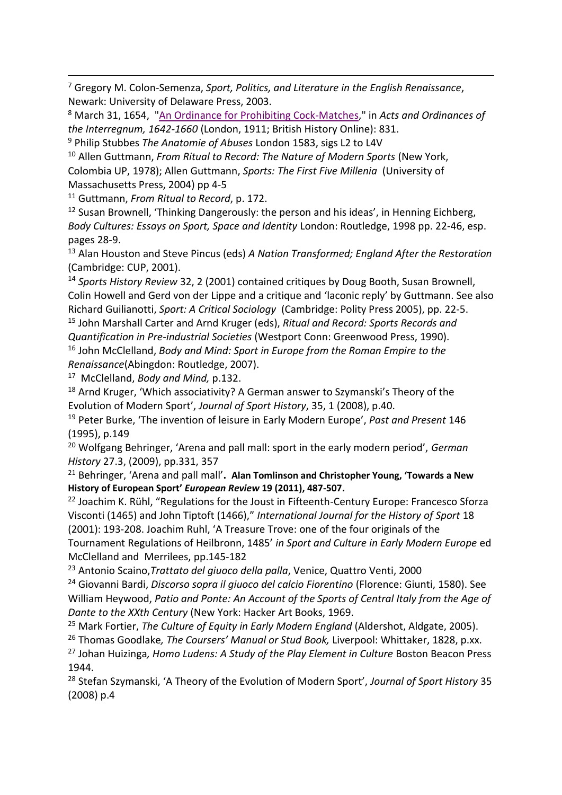<sup>7</sup> Gregory M. Colon-Semenza, *Sport, Politics, and Literature in the English Renaissance*, Newark: University of Delaware Press, 2003.

<sup>8</sup> March 31, 1654, ["An Ordinance for Prohibiting Cock-Matches,](http://www.british-history.ac.uk/report.aspx?compid=56534)" in *Acts and Ordinances of the Interregnum, 1642-1660* (London, 1911; British History Online): 831.

<sup>9</sup> Philip Stubbes *The Anatomie of Abuses* London 1583, sigs L2 to L4V

<sup>10</sup> Allen Guttmann, *From Ritual to Record: The Nature of Modern Sports* (New York, Colombia UP, 1978); Allen Guttmann, *Sports: The First Five Millenia* (University of Massachusetts Press, 2004) pp 4-5

<sup>11</sup> Guttmann, *From Ritual to Record*, p. 172.

1

<sup>12</sup> Susan Brownell, 'Thinking Dangerously: the person and his ideas', in Henning Eichberg, *Body Cultures: Essays on Sport, Space and Identity* London: Routledge, 1998 pp. 22-46, esp. pages 28-9.

<sup>13</sup> Alan Houston and Steve Pincus (eds) *A Nation Transformed; England After the Restoration* (Cambridge: CUP, 2001).

<sup>14</sup> *Sports History Review* 32, 2 (2001) contained critiques by Doug Booth, Susan Brownell, Colin Howell and Gerd von der Lippe and a critique and 'laconic reply' by Guttmann. See also Richard Guilianotti, *Sport: A Critical Sociology* (Cambridge: Polity Press 2005), pp. 22-5.

<sup>15</sup> John Marshall Carter and Arnd Kruger (eds), *Ritual and Record: Sports Records and Quantification in Pre-industrial Societies* (Westport Conn: Greenwood Press, 1990). <sup>16</sup> John McClelland, *Body and Mind: Sport in Europe from the Roman Empire to the Renaissance*(Abingdon: Routledge, 2007).

17 McClelland, *Body and Mind,* p.132.

<sup>18</sup> Arnd Kruger, 'Which associativity? A German answer to Szymanski's Theory of the Evolution of Modern Sport', *Journal of Sport History*, 35, 1 (2008), p.40.

<sup>19</sup> Peter Burke, 'The invention of leisure in Early Modern Europe', *Past and Present* 146 (1995), p.149

<sup>20</sup> Wolfgang Behringer, 'Arena and pall mall: sport in the early modern period', *German History* 27.3, (2009), pp.331, 357

<sup>21</sup> Behringer, 'Arena and pall mall'**. Alan Tomlinson and Christopher Young, 'Towards a New History of European Sport'** *European Review* **19 (2011), 487-507.**

<sup>22</sup> Joachim K. Rühl, "Regulations for the Joust in Fifteenth-Century Europe: Francesco Sforza Visconti (1465) and John Tiptoft (1466)," *International Journal for the History of Sport* 18 (2001): 193-208. Joachim Ruhl, 'A Treasure Trove: one of the four originals of the Tournament Regulations of Heilbronn, 1485' *in Sport and Culture in Early Modern Europe* ed McClelland and Merrilees, pp.145-182

<sup>23</sup> Antonio Scaino,*Trattato del giuoco della palla*, Venice, Quattro Venti, 2000

<sup>24</sup> Giovanni Bardi, *Discorso sopra il giuoco del calcio Fiorentino* (Florence: Giunti, 1580). See William Heywood, *Patio and Ponte: An Account of the Sports of Central Italy from the Age of Dante to the XXth Century* (New York: Hacker Art Books, 1969.

<sup>25</sup> Mark Fortier, *The Culture of Equity in Early Modern England* (Aldershot, Aldgate, 2005).

<sup>26</sup> Thomas Goodlake*, The Coursers' Manual or Stud Book,* Liverpool: Whittaker, 1828, p.xx.

<sup>27</sup> Johan Huizinga*, Homo Ludens: A Study of the Play Element in Culture* Boston Beacon Press 1944.

<sup>28</sup> Stefan Szymanski, 'A Theory of the Evolution of Modern Sport', *Journal of Sport History* 35 (2008) p.4